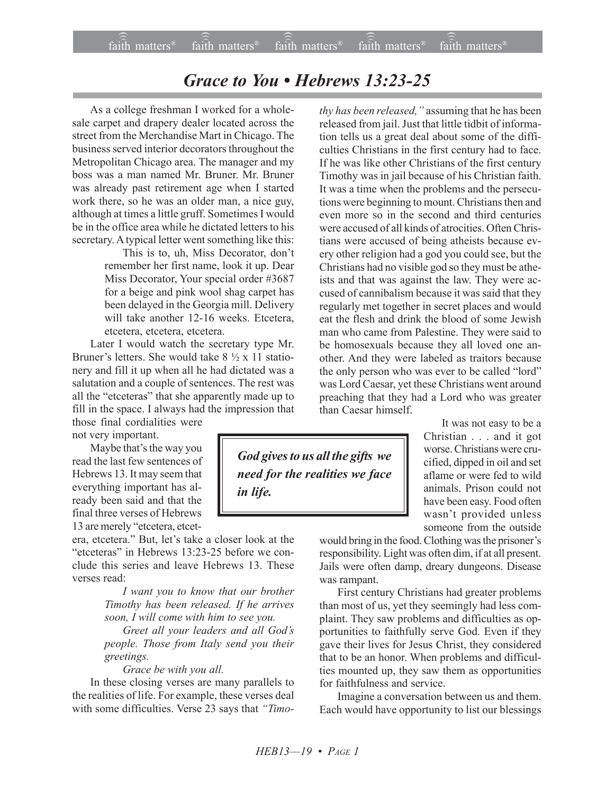## Grace to You • Hebrews 13:23-25

As a college freshman I worked for a wholesale carpet and drapery dealer located across the street from the Merchandise Mart in Chicago. The business served interior decorators throughout the Metropolitan Chicago area. The manager and my boss was a man named Mr. Bruner. Mr. Bruner was already past retirement age when I started work there, so he was an older man, a nice guy, although at times a little gruff. Sometimes I would be in the office area while he dictated letters to his secretary. A typical letter went something like this:

> This is to, uh, Miss Decorator, don't remember her first name, look it up. Dear Miss Decorator, Your special order #3687 for a beige and pink wool shag carpet has been delayed in the Georgia mill. Delivery will take another 12-16 weeks. Etcetera, etcetera, etcetera, etcetera.

Later I would watch the secretary type Mr. Bruner's letters. She would take  $8\frac{1}{2} \times 11$  stationery and fill it up when all he had dictated was a salutation and a couple of sentences. The rest was all the "etceteras" that she apparently made up to fill in the space. I always had the impression that those final cordialities were

not very important.

Maybe that's the way you read the last few sentences of Hebrews 13. It may seem that everything important has already been said and that the final three verses of Hebrews 13 are merely "etcetera, etcet-

era, etcetera." But, let's take a closer look at the "etceteras" in Hebrews  $13:23-25$  before we conclude this series and leave Hebrews 13. These verses read:

> *I want you to know that our brother Timothy has been released. If he arrives soon, I will come with him to see you.*

> *Greet all your leaders and all Godís people. Those from Italy send you their greetings.*

*Grace be with you all.*

In these closing verses are many parallels to the realities of life. For example, these verses deal with some difficulties. Verse 23 says that *"Timo-*

tion tells us a great deal about some of the difficulties Christians in the first century had to face. If he was like other Christians of the first century Timothy was in jail because of his Christian faith. It was a time when the problems and the persecutions were beginning to mount. Christians then and even more so in the second and third centuries were accused of all kinds of atrocities. Often Christians were accused of being atheists because every other religion had a god you could see, but the Christians had no visible god so they must be atheists and that was against the law. They were accused of cannibalism because it was said that they regularly met together in secret places and would eat the flesh and drink the blood of some Jewish man who came from Palestine. They were said to be homosexuals because they all loved one another. And they were labeled as traitors because the only person who was ever to be called "lord" was Lord Caesar, yet these Christians went around preaching that they had a Lord who was greater than Caesar himself.

*thy has been released,* "assuming that he has been released from jail. Just that little tidbit of informa-

> It was not easy to be a Christian . . . and it got worse. Christians were crucified, dipped in oil and set aflame or were fed to wild animals. Prison could not have been easy. Food often wasn't provided unless someone from the outside

would bring in the food. Clothing was the prisoner's responsibility. Light was often dim, if at all present. Jails were often damp, dreary dungeons. Disease was rampant.

First century Christians had greater problems than most of us, yet they seemingly had less complaint. They saw problems and difficulties as opportunities to faithfully serve God. Even if they gave their lives for Jesus Christ, they considered that to be an honor. When problems and difficulties mounted up, they saw them as opportunities for faithfulness and service.

Imagine a conversation between us and them. Each would have opportunity to list our blessings

*God gives to us all the gifts we need for the realities we face in life.*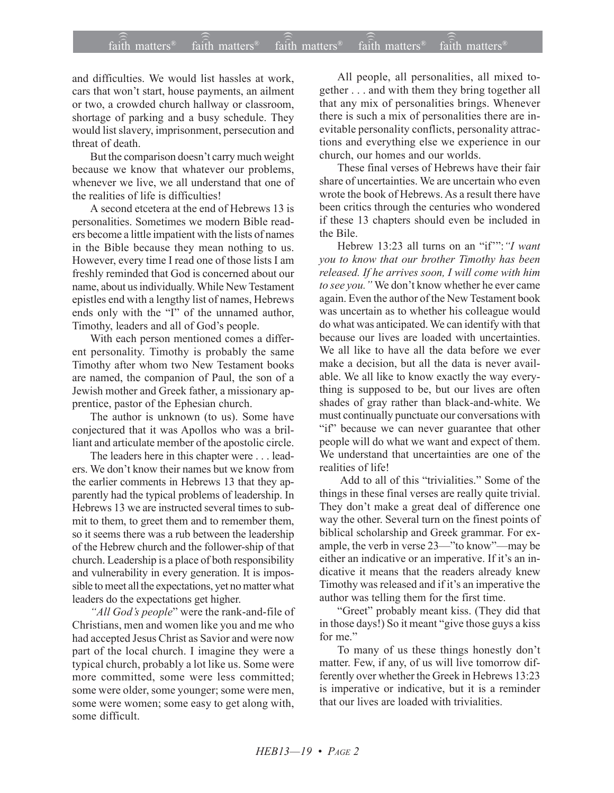## $\widehat{\widehat{\mathfrak{tair}}}$  matters  $^{\circ}$  faith matters faith matters  $^{\circ}$  faith matters faith matters  $^{\circ}$  $f$ aith matters<sup>®</sup> faith matters<sup>®</sup> faith matters<sup>®</sup>

and difficulties. We would list hassles at work, cars that won't start, house payments, an ailment or two, a crowded church hallway or classroom, shortage of parking and a busy schedule. They would list slavery, imprisonment, persecution and threat of death.

But the comparison doesn't carry much weight because we know that whatever our problems, whenever we live, we all understand that one of the realities of life is difficulties!

A second etcetera at the end of Hebrews 13 is personalities. Sometimes we modern Bible readers become a little impatient with the lists of names in the Bible because they mean nothing to us. However, every time I read one of those lists I am freshly reminded that God is concerned about our name, about us individually. While New Testament epistles end with a lengthy list of names, Hebrews ends only with the "I" of the unnamed author, Timothy, leaders and all of God's people.

With each person mentioned comes a different personality. Timothy is probably the same Timothy after whom two New Testament books are named, the companion of Paul, the son of a Jewish mother and Greek father, a missionary apprentice, pastor of the Ephesian church.

The author is unknown (to us). Some have conjectured that it was Apollos who was a brilliant and articulate member of the apostolic circle.

The leaders here in this chapter were . . . leaders. We don't know their names but we know from the earlier comments in Hebrews 13 that they apparently had the typical problems of leadership. In Hebrews 13 we are instructed several times to submit to them, to greet them and to remember them, so it seems there was a rub between the leadership of the Hebrew church and the follower-ship of that church. Leadership is a place of both responsibility and vulnerability in every generation. It is impossible to meet all the expectations, yet no matter what leaders do the expectations get higher.

"*All God's people*" were the rank-and-file of Christians, men and women like you and me who had accepted Jesus Christ as Savior and were now part of the local church. I imagine they were a typical church, probably a lot like us. Some were more committed, some were less committed; some were older, some younger; some were men, some were women; some easy to get along with, some difficult.

All people, all personalities, all mixed together . . . and with them they bring together all that any mix of personalities brings. Whenever there is such a mix of personalities there are inevitable personality conflicts, personality attractions and everything else we experience in our church, our homes and our worlds.

These final verses of Hebrews have their fair share of uncertainties. We are uncertain who even wrote the book of Hebrews. As a result there have been critics through the centuries who wondered if these 13 chapters should even be included in the Bile.

Hebrew 13:23 all turns on an "if": "I want *you to know that our brother Timothy has been released. If he arrives soon, I will come with him* to see you.<sup>"</sup> We don't know whether he ever came again. Even the author of the New Testament book was uncertain as to whether his colleague would do what was anticipated. We can identify with that because our lives are loaded with uncertainties. We all like to have all the data before we ever make a decision, but all the data is never available. We all like to know exactly the way everything is supposed to be, but our lives are often shades of gray rather than black-and-white. We must continually punctuate our conversations with "if" because we can never guarantee that other people will do what we want and expect of them. We understand that uncertainties are one of the realities of life!

Add to all of this "trivialities." Some of the things in these final verses are really quite trivial. They don't make a great deal of difference one way the other. Several turn on the finest points of biblical scholarship and Greek grammar. For example, the verb in verse  $23$ <sup>-'</sup>to know<sup>"</sup>-may be either an indicative or an imperative. If it's an indicative it means that the readers already knew Timothy was released and if it's an imperative the author was telling them for the first time.

"Greet" probably meant kiss. (They did that in those days!) So it meant "give those guys a kiss for me"

To many of us these things honestly don't matter. Few, if any, of us will live tomorrow differently over whether the Greek in Hebrews 13:23 is imperative or indicative, but it is a reminder that our lives are loaded with trivialities.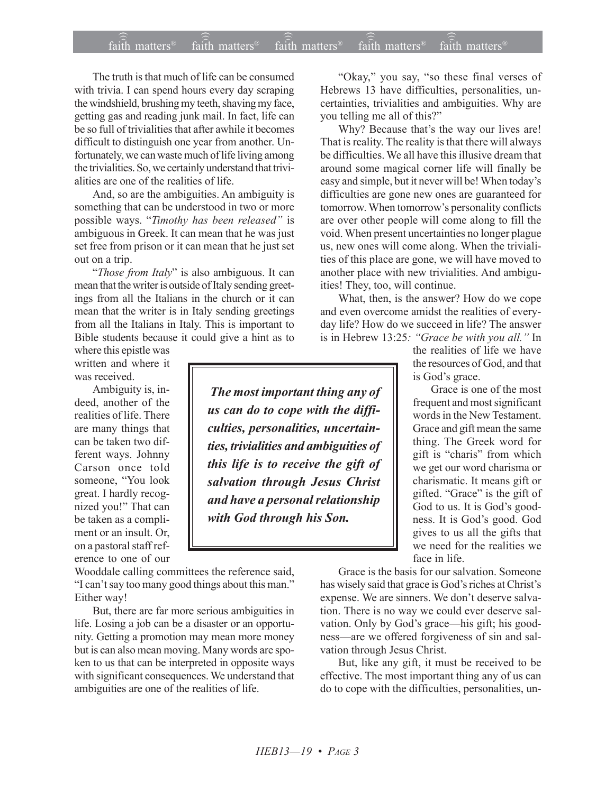## $\widehat{\widehat{\mathfrak{tair}}}$  matters  $^{\circ}$  faith matters faith matters  $^{\circ}$  faith matters faith matters  $^{\circ}$  $f$ aith matters<sup>®</sup> faith matters<sup>®</sup>  $f$ <sub>aith</sub> matters<sup>®</sup>

The truth is that much of life can be consumed with trivia. I can spend hours every day scraping the windshield, brushing my teeth, shaving my face, getting gas and reading junk mail. In fact, life can be so full of trivialities that after awhile it becomes difficult to distinguish one year from another. Unfortunately, we can waste much of life living among the trivialities. So, we certainly understand that trivialities are one of the realities of life.

And, so are the ambiguities. An ambiguity is something that can be understood in two or more possible ways. "Timothy has been released" is ambiguous in Greek. It can mean that he was just set free from prison or it can mean that he just set out on a trip.

ì*Those from Italy*î is also ambiguous. It can mean that the writer is outside of Italy sending greetings from all the Italians in the church or it can mean that the writer is in Italy sending greetings from all the Italians in Italy. This is important to Bible students because it could give a hint as to

where this epistle was written and where it was received.

Ambiguity is, indeed, another of the realities of life. There are many things that can be taken two different ways. Johnny Carson once told someone, "You look great. I hardly recognized you!" That can be taken as a compliment or an insult. Or, on a pastoral staff reference to one of our

Wooddale calling committees the reference said, "I can't say too many good things about this man." Either way!

But, there are far more serious ambiguities in life. Losing a job can be a disaster or an opportunity. Getting a promotion may mean more money but is can also mean moving. Many words are spoken to us that can be interpreted in opposite ways with significant consequences. We understand that ambiguities are one of the realities of life.

"Okay," you say, "so these final verses of Hebrews 13 have difficulties, personalities, uncertainties, trivialities and ambiguities. Why are you telling me all of this?"

Why? Because that's the way our lives are! That is reality. The reality is that there will always be difficulties. We all have this illusive dream that around some magical corner life will finally be easy and simple, but it never will be! When today's difficulties are gone new ones are guaranteed for tomorrow. When tomorrow's personality conflicts are over other people will come along to fill the void. When present uncertainties no longer plague us, new ones will come along. When the trivialities of this place are gone, we will have moved to another place with new trivialities. And ambiguities! They, too, will continue.

What, then, is the answer? How do we cope and even overcome amidst the realities of everyday life? How do we succeed in life? The answer is in Hebrew 13:25: "Grace be with you all." In

the realities of life we have the resources of God, and that is God's grace.

Grace is one of the most frequent and most significant words in the New Testament. Grace and gift mean the same thing. The Greek word for gift is "charis" from which we get our word charisma or charismatic. It means gift or gifted. "Grace" is the gift of God to us. It is God's goodness. It is God's good. God gives to us all the gifts that we need for the realities we face in life.

Grace is the basis for our salvation. Someone has wisely said that grace is God's riches at Christ's expense. We are sinners. We don't deserve salvation. There is no way we could ever deserve salvation. Only by God's grace-his gift; his goodness—are we offered forgiveness of sin and salvation through Jesus Christ.

But, like any gift, it must be received to be effective. The most important thing any of us can do to cope with the difficulties, personalities, un-

 *The most important thing any of us can do to cope with the difficulties, personalities, uncertainties, trivialities and ambiguities of this life is to receive the gift of salvation through Jesus Christ and have a personal relationship with God through his Son.*